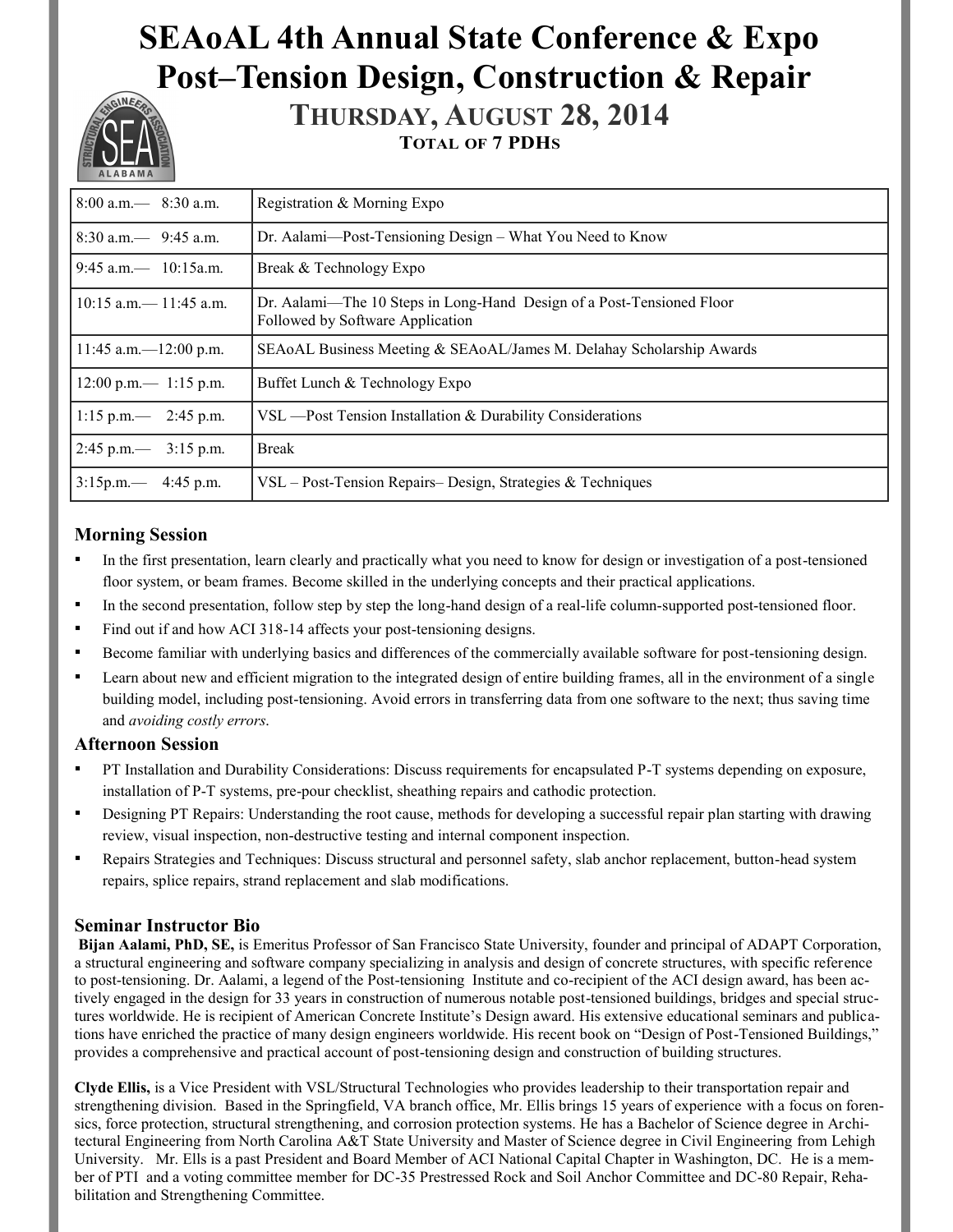# **SEAoAL 4th Annual State Conference & Expo Post–Tension Design, Construction & Repair**



**THURSDAY, AUGUST 28, 2014 TOTAL OF 7 PDHS**

| $8:00$ a.m. $-$ 8:30 a.m.                                                                                                                | Registration & Morning Expo                                          |  |  |  |  |
|------------------------------------------------------------------------------------------------------------------------------------------|----------------------------------------------------------------------|--|--|--|--|
| $8:30$ a.m. $-$ 9:45 a.m.                                                                                                                | Dr. Aalami—Post-Tensioning Design – What You Need to Know            |  |  |  |  |
| $19:45$ a.m. $- 10:15$ a.m.                                                                                                              | Break & Technology Expo                                              |  |  |  |  |
| $10:15$ a.m. $- 11:45$ a.m.<br>Dr. Aalami—The 10 Steps in Long-Hand Design of a Post-Tensioned Floor<br>Followed by Software Application |                                                                      |  |  |  |  |
| $11:45$ a.m. $-12:00$ p.m.                                                                                                               | SEAoAL Business Meeting & SEAoAL/James M. Delahay Scholarship Awards |  |  |  |  |
| $12:00 \text{ p.m.} - 1:15 \text{ p.m.}$                                                                                                 | Buffet Lunch & Technology Expo                                       |  |  |  |  |
| 1:15 p.m.— 2:45 p.m.                                                                                                                     | VSL — Post Tension Installation & Durability Considerations          |  |  |  |  |
| $2:45 \text{ p.m.} - 3:15 \text{ p.m.}$                                                                                                  | <b>Break</b>                                                         |  |  |  |  |
| $3:15p.m. - 4:45p.m.$                                                                                                                    | VSL – Post-Tension Repairs– Design, Strategies & Techniques          |  |  |  |  |

## **Morning Session**

- In the first presentation, learn clearly and practically what you need to know for design or investigation of a post-tensioned floor system, or beam frames. Become skilled in the underlying concepts and their practical applications.
- In the second presentation, follow step by step the long-hand design of a real-life column-supported post-tensioned floor.
- Find out if and how ACI 318-14 affects your post-tensioning designs.
- Become familiar with underlying basics and differences of the commercially available software for post-tensioning design.
- Learn about new and efficient migration to the integrated design of entire building frames, all in the environment of a single building model, including post-tensioning. Avoid errors in transferring data from one software to the next; thus saving time and *avoiding costly errors.*

#### **Afternoon Session**

- PT Installation and Durability Considerations: Discuss requirements for encapsulated P-T systems depending on exposure, installation of P-T systems, pre-pour checklist, sheathing repairs and cathodic protection.
- Designing PT Repairs: Understanding the root cause, methods for developing a successful repair plan starting with drawing review, visual inspection, non-destructive testing and internal component inspection.
- Repairs Strategies and Techniques: Discuss structural and personnel safety, slab anchor replacement, button-head system repairs, splice repairs, strand replacement and slab modifications.

## **Seminar Instructor Bio**

**Bijan Aalami, PhD, SE,** is Emeritus Professor of San Francisco State University, founder and principal of ADAPT Corporation, a structural engineering and software company specializing in analysis and design of concrete structures, with specific reference to post-tensioning. Dr. Aalami, a legend of the Post-tensioning Institute and co-recipient of the ACI design award, has been actively engaged in the design for 33 years in construction of numerous notable post-tensioned buildings, bridges and special structures worldwide. He is recipient of American Concrete Institute's Design award. His extensive educational seminars and publications have enriched the practice of many design engineers worldwide. His recent book on "Design of Post-Tensioned Buildings," provides a comprehensive and practical account of post-tensioning design and construction of building structures.

**Clyde Ellis,** is a Vice President with VSL/Structural Technologies who provides leadership to their transportation repair and strengthening division. Based in the Springfield, VA branch office, Mr. Ellis brings 15 years of experience with a focus on forensics, force protection, structural strengthening, and corrosion protection systems. He has a Bachelor of Science degree in Architectural Engineering from North Carolina A&T State University and Master of Science degree in Civil Engineering from Lehigh University. Mr. Ells is a past President and Board Member of ACI National Capital Chapter in Washington, DC. He is a member of PTI and a voting committee member for DC-35 Prestressed Rock and Soil Anchor Committee and DC-80 Repair, Rehabilitation and Strengthening Committee.